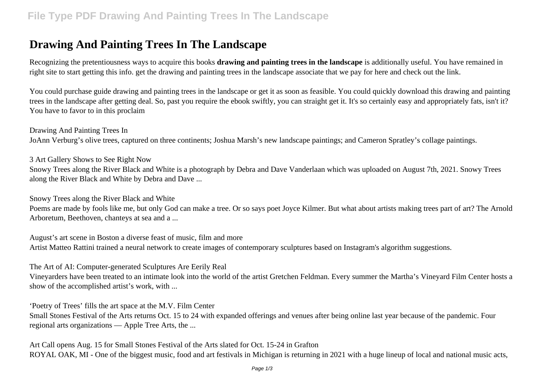## **Drawing And Painting Trees In The Landscape**

Recognizing the pretentiousness ways to acquire this books **drawing and painting trees in the landscape** is additionally useful. You have remained in right site to start getting this info. get the drawing and painting trees in the landscape associate that we pay for here and check out the link.

You could purchase guide drawing and painting trees in the landscape or get it as soon as feasible. You could quickly download this drawing and painting trees in the landscape after getting deal. So, past you require the ebook swiftly, you can straight get it. It's so certainly easy and appropriately fats, isn't it? You have to favor to in this proclaim

Drawing And Painting Trees In JoAnn Verburg's olive trees, captured on three continents; Joshua Marsh's new landscape paintings; and Cameron Spratley's collage paintings.

3 Art Gallery Shows to See Right Now

Snowy Trees along the River Black and White is a photograph by Debra and Dave Vanderlaan which was uploaded on August 7th, 2021. Snowy Trees along the River Black and White by Debra and Dave ...

Snowy Trees along the River Black and White

Poems are made by fools like me, but only God can make a tree. Or so says poet Joyce Kilmer. But what about artists making trees part of art? The Arnold Arboretum, Beethoven, chanteys at sea and a ...

August's art scene in Boston a diverse feast of music, film and more Artist Matteo Rattini trained a neural network to create images of contemporary sculptures based on Instagram's algorithm suggestions.

The Art of AI: Computer-generated Sculptures Are Eerily Real

Vineyarders have been treated to an intimate look into the world of the artist Gretchen Feldman. Every summer the Martha's Vineyard Film Center hosts a show of the accomplished artist's work, with ...

'Poetry of Trees' fills the art space at the M.V. Film Center

Small Stones Festival of the Arts returns Oct. 15 to 24 with expanded offerings and venues after being online last year because of the pandemic. Four regional arts organizations — Apple Tree Arts, the ...

Art Call opens Aug. 15 for Small Stones Festival of the Arts slated for Oct. 15-24 in Grafton ROYAL OAK, MI - One of the biggest music, food and art festivals in Michigan is returning in 2021 with a huge lineup of local and national music acts,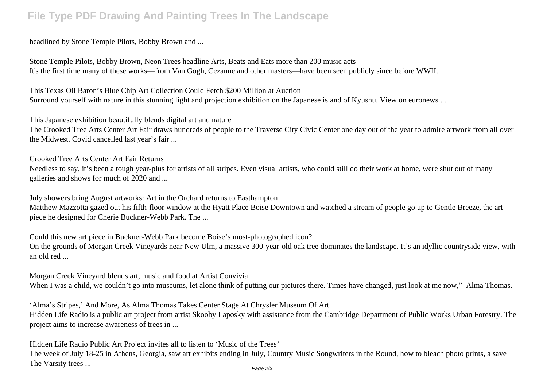## **File Type PDF Drawing And Painting Trees In The Landscape**

headlined by Stone Temple Pilots, Bobby Brown and ...

Stone Temple Pilots, Bobby Brown, Neon Trees headline Arts, Beats and Eats more than 200 music acts It's the first time many of these works—from Van Gogh, Cezanne and other masters—have been seen publicly since before WWII.

This Texas Oil Baron's Blue Chip Art Collection Could Fetch \$200 Million at Auction Surround yourself with nature in this stunning light and projection exhibition on the Japanese island of Kyushu. View on euronews ...

This Japanese exhibition beautifully blends digital art and nature

The Crooked Tree Arts Center Art Fair draws hundreds of people to the Traverse City Civic Center one day out of the year to admire artwork from all over the Midwest. Covid cancelled last year's fair ...

Crooked Tree Arts Center Art Fair Returns

Needless to say, it's been a tough year-plus for artists of all stripes. Even visual artists, who could still do their work at home, were shut out of many galleries and shows for much of 2020 and ...

July showers bring August artworks: Art in the Orchard returns to Easthampton

Matthew Mazzotta gazed out his fifth-floor window at the Hyatt Place Boise Downtown and watched a stream of people go up to Gentle Breeze, the art piece he designed for Cherie Buckner-Webb Park. The ...

Could this new art piece in Buckner-Webb Park become Boise's most-photographed icon? On the grounds of Morgan Creek Vineyards near New Ulm, a massive 300-year-old oak tree dominates the landscape. It's an idyllic countryside view, with an old red ...

Morgan Creek Vineyard blends art, music and food at Artist Convivia When I was a child, we couldn't go into museums, let alone think of putting our pictures there. Times have changed, just look at me now,"–Alma Thomas.

'Alma's Stripes,' And More, As Alma Thomas Takes Center Stage At Chrysler Museum Of Art Hidden Life Radio is a public art project from artist Skooby Laposky with assistance from the Cambridge Department of Public Works Urban Forestry. The project aims to increase awareness of trees in ...

Hidden Life Radio Public Art Project invites all to listen to 'Music of the Trees' The week of July 18-25 in Athens, Georgia, saw art exhibits ending in July, Country Music Songwriters in the Round, how to bleach photo prints, a save The Varsity trees ... Page 2/3